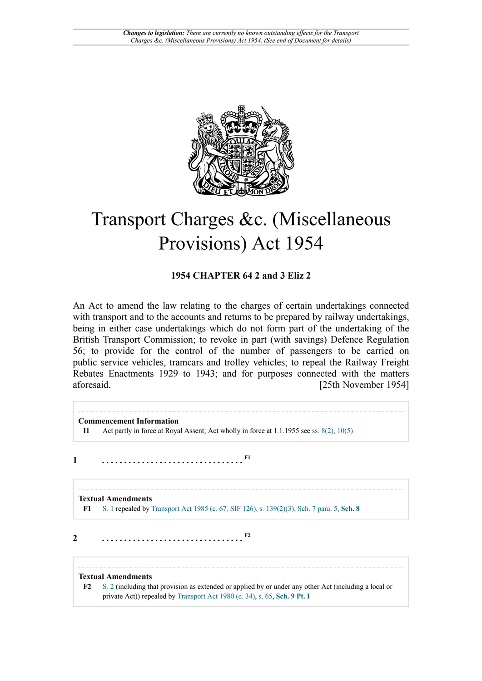

# Transport Charges &c. (Miscellaneous Provisions) Act 1954

## **1954 CHAPTER 64 2 and 3 Eliz 2**

An Act to amend the law relating to the charges of certain undertakings connected with transport and to the accounts and returns to be prepared by railway undertakings, being in either case undertakings which do not form part of the undertaking of the British Transport Commission; to revoke in part (with savings) Defence Regulation 56; to provide for the control of the number of passengers to be carried on public service vehicles, tramcars and trolley vehicles; to repeal the Railway Freight Rebates Enactments 1929 to 1943; and for purposes connected with the matters aforesaid. [25th November 1954]

<span id="page-0-1"></span>**[F1](#page-0-0)**

<span id="page-0-3"></span>**[F2](#page-0-2)**

**Commencement Information I1** Act partly in force at Royal Assent; Act wholly in force at 1.1.1955 see [ss. 8\(2\),](http://www.legislation.gov.uk/id/ukpga/Eliz2/2-3/64/section/8/2) [10\(5\)](http://www.legislation.gov.uk/id/ukpga/Eliz2/2-3/64/section/10/5)

**1 . . . . . . . . . . . . . . . . . . . . . . . . . . . . . . . .** 

<span id="page-0-0"></span>**Textual Amendments [F1](#page-0-1)** [S. 1](http://www.legislation.gov.uk/id/ukpga/Eliz2/2-3/64/section/1) repealed by [Transport](http://www.legislation.gov.uk/id/ukpga/1985/67) Act 1985 (c. 67, SIF 126), [s. 139\(2\)\(3\)](http://www.legislation.gov.uk/id/ukpga/1985/67/section/139/2/3), [Sch. 7 para. 5,](http://www.legislation.gov.uk/id/ukpga/1985/67/schedule/7/paragraph/5) **[Sch. 8](http://www.legislation.gov.uk/id/ukpga/1985/67/schedule/8)**

**2 . . . . . . . . . . . . . . . . . . . . . . . . . . . . . . . .** 

#### **Textual Amendments**

<span id="page-0-2"></span>**[F2](#page-0-3)** [S. 2](http://www.legislation.gov.uk/id/ukpga/Eliz2/2-3/64/section/2) (including that provision as extended or applied by or under any other Act (including a local or private Act)) repealed by [Transport](http://www.legislation.gov.uk/id/ukpga/1980/34) Act 1980 (c. 34), [s. 65](http://www.legislation.gov.uk/id/ukpga/1980/34/section/65), **[Sch. 9 Pt. I](http://www.legislation.gov.uk/id/ukpga/1980/34/schedule/9/part/I)**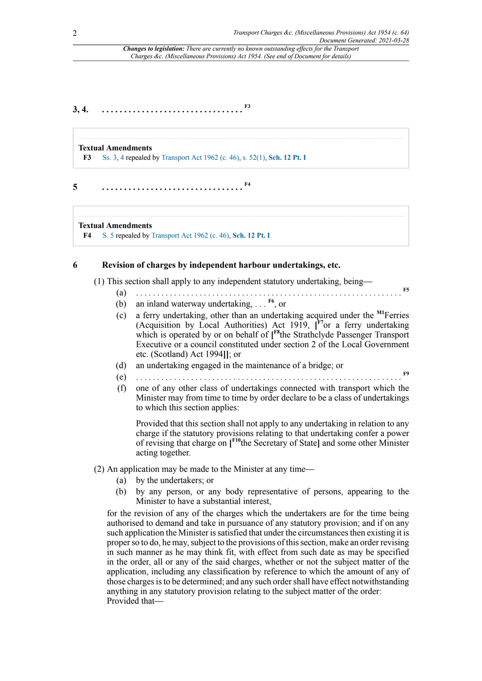<span id="page-1-10"></span><span id="page-1-8"></span><span id="page-1-7"></span><span id="page-1-6"></span><span id="page-1-5"></span><span id="page-1-4"></span>**[F5](#page-3-0)**

<span id="page-1-1"></span>*Changes to legislation: There are currently no known outstanding effects for the Transport Charges &c. (Miscellaneous Provisions) Act 1954. (See end of Document for details)*

## **3, 4. . . . . . . . . . . . . . . . . . . . . . . . . . . . . . . . . [F3](#page-1-0)**

#### **Textual Amendments**

<span id="page-1-3"></span><span id="page-1-0"></span>**[F3](#page-1-1)** [Ss. 3](http://www.legislation.gov.uk/id/ukpga/Eliz2/2-3/64/section/3), [4](http://www.legislation.gov.uk/id/ukpga/Eliz2/2-3/64/section/4) repealed by [Transport](http://www.legislation.gov.uk/id/ukpga/1962/46) Act 1962 (c. 46), [s. 52\(1\)](http://www.legislation.gov.uk/id/ukpga/1962/46/section/52/1), **[Sch. 12 Pt. I](http://www.legislation.gov.uk/id/ukpga/1962/46/schedule/12/part/I)**

**5 . . . . . . . . . . . . . . . . . . . . . . . . . . . . . . . . [F4](#page-1-2)**

#### **Textual Amendments**

<span id="page-1-2"></span>**[F4](#page-1-3)** [S. 5](http://www.legislation.gov.uk/id/ukpga/Eliz2/2-3/64/section/5) repealed by [Transport](http://www.legislation.gov.uk/id/ukpga/1962/46) Act 1962 (c. 46), **[Sch. 12 Pt. I](http://www.legislation.gov.uk/id/ukpga/1962/46/schedule/12/part/I)**

#### **6 Revision of charges by independent harbour undertakings, etc.**

(1) This section shall apply to any independent statutory undertaking, being—

- (a) . . . . . . . . . . . . . . . . . . . . . . . . . . . . . . . . . . . . . . . . . . . . . . . . . . . . . . . . . . . . . . .
- (b) an inland waterway undertaking, . . . **[F6](#page-3-1)**, or
- (c) a ferry undertaking, other than an undertaking acquired under the **[M1](#page-3-2)**Ferries (Acquisition by Local Authorities) Act 1919, **[ [F7](#page-3-3)**or a ferry undertaking which is operated by or on behalf of **[ [F8](#page-3-4)**the Strathclyde Passenger Transport Executive or a council constituted under section 2 of the Local Government etc. (Scotland) Act 1994**]]**; or
- (d) an undertaking engaged in the maintenance of a bridge; or
- (e) . . . . . . . . . . . . . . . . . . . . . . . . . . . . . . . . . . . . . . . . . . . . . . . . . . . . . . . . . . . . . . . **[F9](#page-3-5)**
- (f) one of any other class of undertakings connected with transport which the Minister may from time to time by order declare to be a class of undertakings to which this section applies:

<span id="page-1-9"></span>Provided that this section shall not apply to any undertaking in relation to any charge if the statutory provisions relating to that undertaking confer a power of revising that charge on **[ [F10](#page-3-6)**the Secretary of State**]** and some other Minister acting together.

(2) An application may be made to the Minister at any time—

- (a) by the undertakers; or
- (b) by any person, or any body representative of persons, appearing to the Minister to have a substantial interest,

for the revision of any of the charges which the undertakers are for the time being authorised to demand and take in pursuance of any statutory provision; and if on any such application the Minister is satisfied that under the circumstances then existing it is properso to do, he may,subject to the provisions of thissection, make an order revising in such manner as he may think fit, with effect from such date as may be specified in the order, all or any of the said charges, whether or not the subject matter of the application, including any classification by reference to which the amount of any of those chargesisto be determined; and any such ordershall have effect notwithstanding anything in any statutory provision relating to the subject matter of the order: Provided that—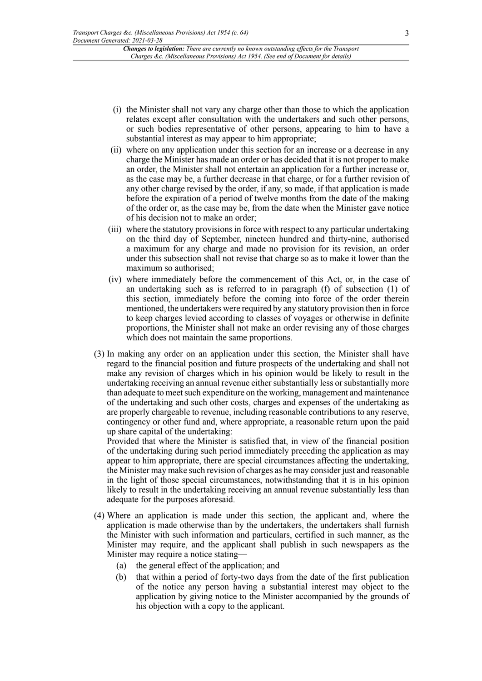- (i) the Minister shall not vary any charge other than those to which the application relates except after consultation with the undertakers and such other persons, or such bodies representative of other persons, appearing to him to have a substantial interest as may appear to him appropriate;
- (ii) where on any application under this section for an increase or a decrease in any charge the Minister has made an order or has decided that it is not proper to make an order, the Minister shall not entertain an application for a further increase or, as the case may be, a further decrease in that charge, or for a further revision of any other charge revised by the order, if any, so made, if that application is made before the expiration of a period of twelve months from the date of the making of the order or, as the case may be, from the date when the Minister gave notice of his decision not to make an order;
- (iii) where the statutory provisions in force with respect to any particular undertaking on the third day of September, nineteen hundred and thirty-nine, authorised a maximum for any charge and made no provision for its revision, an order under this subsection shall not revise that charge so as to make it lower than the maximum so authorised;
- (iv) where immediately before the commencement of this Act, or, in the case of an undertaking such as is referred to in paragraph (f) of subsection (1) of this section, immediately before the coming into force of the order therein mentioned, the undertakers were required by any statutory provision then in force to keep charges levied according to classes of voyages or otherwise in definite proportions, the Minister shall not make an order revising any of those charges which does not maintain the same proportions.
- (3) In making any order on an application under this section, the Minister shall have regard to the financial position and future prospects of the undertaking and shall not make any revision of charges which in his opinion would be likely to result in the undertaking receiving an annual revenue either substantially less or substantially more than adequate to meet such expenditure on the working, management and maintenance of the undertaking and such other costs, charges and expenses of the undertaking as are properly chargeable to revenue, including reasonable contributions to any reserve, contingency or other fund and, where appropriate, a reasonable return upon the paid up share capital of the undertaking:

Provided that where the Minister is satisfied that, in view of the financial position of the undertaking during such period immediately preceding the application as may appear to him appropriate, there are special circumstances affecting the undertaking, the Minister may make such revision of charges as he may consider just and reasonable in the light of those special circumstances, notwithstanding that it is in his opinion likely to result in the undertaking receiving an annual revenue substantially less than adequate for the purposes aforesaid.

- (4) Where an application is made under this section, the applicant and, where the application is made otherwise than by the undertakers, the undertakers shall furnish the Minister with such information and particulars, certified in such manner, as the Minister may require, and the applicant shall publish in such newspapers as the Minister may require a notice stating—
	- (a) the general effect of the application; and
	- (b) that within a period of forty-two days from the date of the first publication of the notice any person having a substantial interest may object to the application by giving notice to the Minister accompanied by the grounds of his objection with a copy to the applicant.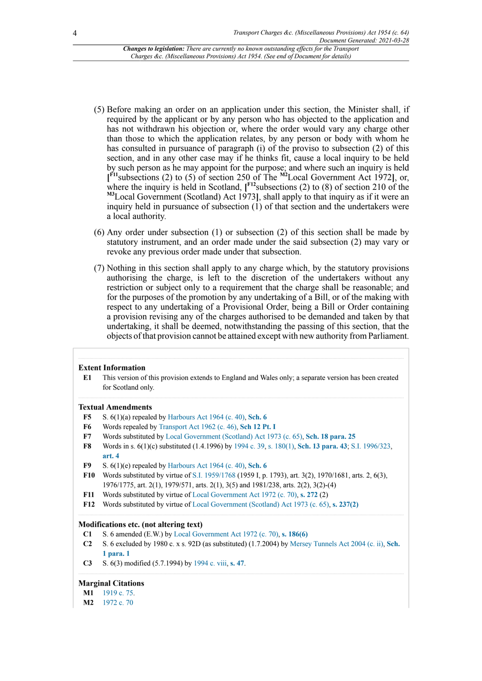- (5) Before making an order on an application under this section, the Minister shall, if required by the applicant or by any person who has objected to the application and has not withdrawn his objection or, where the order would vary any charge other than those to which the application relates, by any person or body with whom he has consulted in pursuance of paragraph (i) of the proviso to subsection (2) of this section, and in any other case may if he thinks fit, cause a local inquiry to be held by such person as he may appoint for the purpose; and where such an inquiry is held **[ [F11](#page-3-7)** subsections (2) to (5) of section 250 of The **[M2](#page-3-8)**Local Government Act 1972**]**, or, where the inquiry is held in Scotland,  $\int_{0}^{F12}$  $\int_{0}^{F12}$  $\int_{0}^{F12}$ subsections (2) to (8) of section 210 of the **[M3](#page-4-0)**Local Government (Scotland) Act 1973**]**, shall apply to that inquiry as if it were an inquiry held in pursuance of subsection (1) of that section and the undertakers were a local authority.
- <span id="page-3-13"></span><span id="page-3-12"></span><span id="page-3-11"></span><span id="page-3-10"></span>(6) Any order under subsection (1) or subsection (2) of this section shall be made by statutory instrument, and an order made under the said subsection (2) may vary or revoke any previous order made under that subsection.
- (7) Nothing in this section shall apply to any charge which, by the statutory provisions authorising the charge, is left to the discretion of the undertakers without any restriction or subject only to a requirement that the charge shall be reasonable; and for the purposes of the promotion by any undertaking of a Bill, or of the making with respect to any undertaking of a Provisional Order, being a Bill or Order containing a provision revising any of the charges authorised to be demanded and taken by that undertaking, it shall be deemed, notwithstanding the passing of this section, that the objects of that provision cannot be attained except with new authority from Parliament.

#### **Extent Information**

**E1** This version of this provision extends to England and Wales only; a separate version has been created for Scotland only.

#### **Textual Amendments**

- <span id="page-3-0"></span>**[F5](#page-1-4)** S. 6(1)(a) repealed by [Harbours Act 1964 \(c. 40\)](http://www.legislation.gov.uk/id/ukpga/1964/40), **[Sch. 6](http://www.legislation.gov.uk/id/ukpga/1964/40/schedule/6)**
- <span id="page-3-1"></span>**[F6](#page-1-5)** Words repealed by [Transport](http://www.legislation.gov.uk/id/ukpga/1962/46) Act 1962 (c. 46), **[Sch 12 Pt. I](http://www.legislation.gov.uk/id/ukpga/1962/46/schedule/12/part/I)**
- <span id="page-3-3"></span>**[F7](#page-1-6)** Words substituted by [Local Government \(Scotland\) Act 1973 \(c. 65\)](http://www.legislation.gov.uk/id/ukpga/1973/65), **[Sch. 18 para. 25](http://www.legislation.gov.uk/id/ukpga/1973/65/schedule/18/paragraph/25)**
- <span id="page-3-4"></span>**[F8](#page-1-7)** Words in s. 6(1)(c) substituted (1.4.1996) by [1994 c. 39,](http://www.legislation.gov.uk/id/ukpga/1994/39) [s. 180\(1\)](http://www.legislation.gov.uk/id/ukpga/1994/39/section/180/1), **[Sch. 13 para. 43](http://www.legislation.gov.uk/id/ukpga/1994/39/schedule/13/paragraph/43)**; [S.I. 1996/323](http://www.legislation.gov.uk/id/uksi/1996/323), **[art. 4](http://www.legislation.gov.uk/id/uksi/1996/323/article/4)**
- <span id="page-3-5"></span>**[F9](#page-1-8)** S. 6(1)(e) repealed by [Harbours Act 1964 \(c. 40\)](http://www.legislation.gov.uk/id/ukpga/1964/40), **[Sch. 6](http://www.legislation.gov.uk/id/ukpga/1964/40/schedule/6)**
- <span id="page-3-6"></span>**[F10](#page-1-9)** Words substituted by virtue of [S.I. 1959/1768](http://www.legislation.gov.uk/id/uksi/1959/1768) (1959 I, p. 1793), art. 3(2), 1970/1681, arts. 2, 6(3), 1976/1775, art. 2(1), 1979/571, arts. 2(1), 3(5) and 1981/238, arts. 2(2), 3(2)-(4)
- <span id="page-3-7"></span>**[F11](#page-3-10)** Words substituted by virtue of [Local Government Act 1972 \(c. 70\),](http://www.legislation.gov.uk/id/ukpga/1972/70) **[s. 272](http://www.legislation.gov.uk/id/ukpga/1972/70/section/272)** (2)
- <span id="page-3-9"></span>**[F12](#page-3-11)** Words substituted by virtue of [Local Government \(Scotland\) Act 1973 \(c. 65\)](http://www.legislation.gov.uk/id/ukpga/1973/65), **[s. 237\(2\)](http://www.legislation.gov.uk/id/ukpga/1973/65/section/237/2)**

#### **Modifications etc. (not altering text)**

- **C1** S. 6 amended (E.W.) by [Local Government Act 1972 \(c. 70\),](http://www.legislation.gov.uk/id/ukpga/1972/70) **[s. 186\(6\)](http://www.legislation.gov.uk/id/ukpga/1972/70/section/186/6)**
- **C2** S. 6 excluded by 1980 c. x s. 92D (as substituted) (1.7.2004) by Mersey [Tunnels](http://www.legislation.gov.uk/id/ukla/2004/2) Act 2004 (c. ii), **[Sch.](http://www.legislation.gov.uk/id/ukla/2004/2/schedule/1/paragraph/1) [1 para. 1](http://www.legislation.gov.uk/id/ukla/2004/2/schedule/1/paragraph/1)**
- **C3** S. 6(3) modified (5.7.1994) by [1994 c. viii,](http://www.legislation.gov.uk/id/ukla/1994/8) **[s. 47](http://www.legislation.gov.uk/id/ukla/1994/8/section/47)**.

#### **Marginal Citations**

- <span id="page-3-2"></span>**[M1](#page-1-10)** [1919 c. 75](http://www.legislation.gov.uk/id/ukpga/1919/75).
- <span id="page-3-8"></span>**[M2](#page-3-12)** [1972 c. 70](http://www.legislation.gov.uk/id/ukpga/1972/70)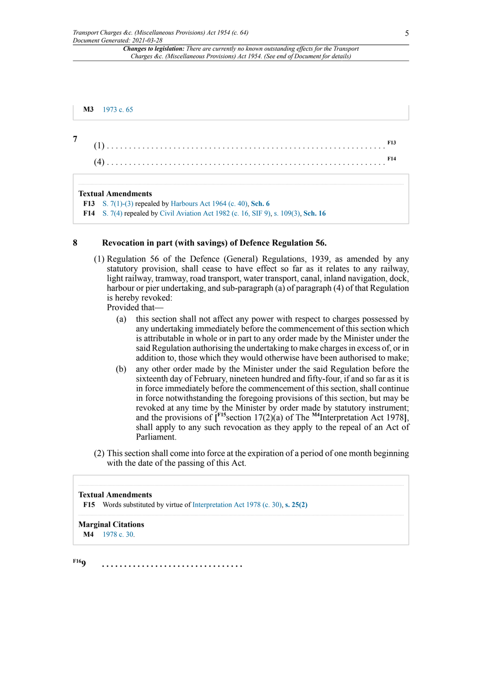<span id="page-4-0"></span>**[M3](#page-3-13)** [1973 c. 65](http://www.legislation.gov.uk/id/ukpga/1973/65)

**7**

<span id="page-4-4"></span><span id="page-4-3"></span>

#### **Textual Amendments**

<span id="page-4-2"></span><span id="page-4-1"></span>**[F13](#page-4-3)** [S. 7\(1\)-\(3\)](http://www.legislation.gov.uk/id/ukpga/Eliz2/2-3/64/section/7/1) repealed by [Harbours Act 1964 \(c. 40\),](http://www.legislation.gov.uk/id/ukpga/1964/40) **[Sch. 6](http://www.legislation.gov.uk/id/ukpga/1964/40/schedule/6) [F14](#page-4-4)** [S. 7\(4\)](http://www.legislation.gov.uk/id/ukpga/Eliz2/2-3/64/section/7/4) repealed by Civil [Aviation](http://www.legislation.gov.uk/id/ukpga/1982/16) Act 1982 (c. 16, SIF 9), [s. 109\(3\)](http://www.legislation.gov.uk/id/ukpga/1982/16/section/109/3), **[Sch. 16](http://www.legislation.gov.uk/id/ukpga/1982/16/schedule/16)**

#### **8 Revocation in part (with savings) of Defence Regulation 56.**

(1) Regulation 56 of the Defence (General) Regulations, 1939, as amended by any statutory provision, shall cease to have effect so far as it relates to any railway, light railway, tramway, road transport, water transport, canal, inland navigation, dock, harbour or pier undertaking, and sub-paragraph (a) of paragraph (4) of that Regulation is hereby revoked:

Provided that—

- (a) this section shall not affect any power with respect to charges possessed by any undertaking immediately before the commencement of this section which is attributable in whole or in part to any order made by the Minister under the said Regulation authorising the undertaking to make charges in excess of, or in addition to, those which they would otherwise have been authorised to make;
- <span id="page-4-8"></span><span id="page-4-7"></span>(b) any other order made by the Minister under the said Regulation before the sixteenth day of February, nineteen hundred and fifty-four, if and so far as it is in force immediately before the commencement of this section, shall continue in force notwithstanding the foregoing provisions of this section, but may be revoked at any time by the Minister by order made by statutory instrument; and the provisions of **[ [F15](#page-4-5)**section 17(2)(a) of The **[M4](#page-4-6)**Interpretation Act 1978**]**, shall apply to any such revocation as they apply to the repeal of an Act of Parliament.
- (2) This section shall come into force at the expiration of a period of one month beginning with the date of the passing of this Act.

#### **Textual Amendments**

<span id="page-4-5"></span>**[F15](#page-4-7)** Words substituted by virtue of [Interpretation Act 1978 \(c. 30\),](http://www.legislation.gov.uk/id/ukpga/1978/30) **[s. 25\(2\)](http://www.legislation.gov.uk/id/ukpga/1978/30/section/25/2)**

#### **Marginal Citations**

<span id="page-4-6"></span>**[M4](#page-4-8)** [1978 c. 30](http://www.legislation.gov.uk/id/ukpga/1978/30).

<span id="page-4-9"></span>**[F16](#page-5-0)9 . . . . . . . . . . . . . . . . . . . . . . . . . . . . . . . .**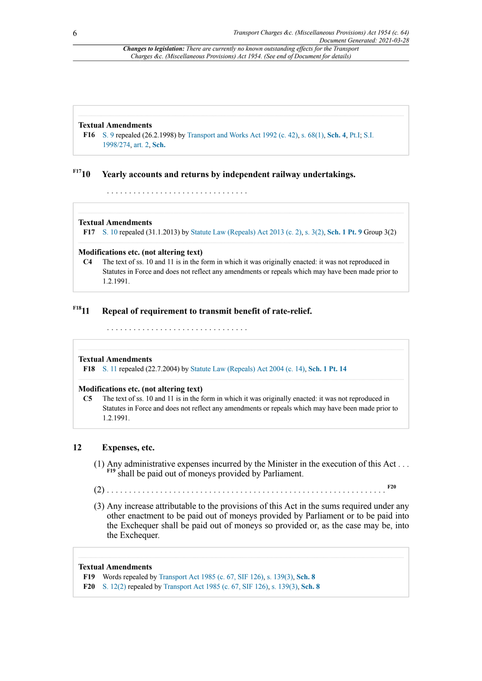#### **Textual Amendments**

<span id="page-5-0"></span>**[F16](#page-4-9)** [S. 9](http://www.legislation.gov.uk/id/ukpga/Eliz2/2-3/64/section/9) repealed (26.2.1998) by [Transport](http://www.legislation.gov.uk/id/ukpga/1992/42) and Works Act 1992 (c. 42), [s. 68\(1\),](http://www.legislation.gov.uk/id/ukpga/1992/42/section/68/1) **[Sch. 4](http://www.legislation.gov.uk/id/ukpga/1992/42/schedule/4)**, [Pt.I;](http://www.legislation.gov.uk/id/ukpga/1992/42/part/I) [S.I.](http://www.legislation.gov.uk/id/uksi/1998/274) [1998/274,](http://www.legislation.gov.uk/id/uksi/1998/274) [art. 2,](http://www.legislation.gov.uk/id/uksi/1998/274/article/2) **[Sch.](http://www.legislation.gov.uk/id/uksi/1998/274/schedule)**

## <span id="page-5-2"></span>**[F17](#page-5-1)10 Yearly accounts and returns by independent railway undertakings.**

. . . . . . . . . . . . . . . . . . . . . . . . . . . . . . . .

#### **Textual Amendments**

<span id="page-5-1"></span>**[F17](#page-5-2)** [S. 10](http://www.legislation.gov.uk/id/ukpga/Eliz2/2-3/64/section/10) repealed (31.1.2013) by [Statute Law \(Repeals\) Act 2013 \(c. 2\)](http://www.legislation.gov.uk/id/ukpga/2013/2), [s. 3\(2\),](http://www.legislation.gov.uk/id/ukpga/2013/2/section/3/2) **[Sch. 1 Pt. 9](http://www.legislation.gov.uk/id/ukpga/2013/2/schedule/1/part/9)** Group 3(2)

#### **Modifications etc. (not altering text)**

**C4** The text of ss. 10 and 11 is in the form in which it was originally enacted: it was not reproduced in Statutes in Force and does not reflect any amendments or repeals which may have been made prior to 1.2.1991.

## <span id="page-5-4"></span>**[F18](#page-5-3)11 Repeal of requirement to transmit benefit of rate-relief.**

. . . . . . . . . . . . . . . . . . . . . . . . . . . . . . . .

#### **Textual Amendments**

<span id="page-5-3"></span>**[F18](#page-5-4)** S. [11](http://www.legislation.gov.uk/id/ukpga/Eliz2/2-3/64/section/11) repealed (22.7.2004) by [Statute Law \(Repeals\) Act 2004 \(c. 14\)](http://www.legislation.gov.uk/id/ukpga/2004/14), **[Sch. 1 Pt. 14](http://www.legislation.gov.uk/id/ukpga/2004/14/schedule/1/part/14)**

#### **Modifications etc. (not altering text)**

**C5** The text of ss. 10 and 11 is in the form in which it was originally enacted: it was not reproduced in Statutes in Force and does not reflect any amendments or repeals which may have been made prior to 1.2.1991.

#### **12 Expenses, etc.**

- <span id="page-5-7"></span>(1) Any administrative expenses incurred by the Minister in the execution of this Act . . . **[F19](#page-5-5)** shall be paid out of moneys provided by Parliament.
- <span id="page-5-8"></span>(2) . . . . . . . . . . . . . . . . . . . . . . . . . . . . . . . . . . . . . . . . . . . . . . . . . . . . . . . . . . . . . . . **[F20](#page-5-6)**
- (3) Any increase attributable to the provisions of this Act in the sums required under any other enactment to be paid out of moneys provided by Parliament or to be paid into the Exchequer shall be paid out of moneys so provided or, as the case may be, into the Exchequer.

#### **Textual Amendments**

<span id="page-5-5"></span>**[F19](#page-5-7)** Words repealed by [Transport](http://www.legislation.gov.uk/id/ukpga/1985/67) Act 1985 (c. 67, SIF 126), [s. 139\(3\),](http://www.legislation.gov.uk/id/ukpga/1985/67/section/139/3) **[Sch. 8](http://www.legislation.gov.uk/id/ukpga/1985/67/schedule/8)**

<span id="page-5-6"></span>**[F20](#page-5-8)** [S. 12\(2\)](http://www.legislation.gov.uk/id/ukpga/Eliz2/2-3/64/section/12/2) repealed by [Transport](http://www.legislation.gov.uk/id/ukpga/1985/67) Act 1985 (c. 67, SIF 126), [s. 139\(3\),](http://www.legislation.gov.uk/id/ukpga/1985/67/section/139/3) **[Sch. 8](http://www.legislation.gov.uk/id/ukpga/1985/67/schedule/8)**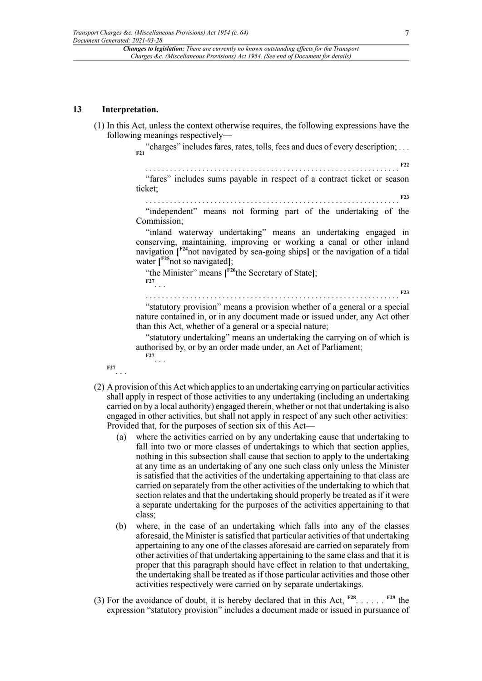#### **13 Interpretation.**

(1) In this Act, unless the context otherwise requires, the following expressions have the following meanings respectively—

> <span id="page-6-0"></span>"charges" includes fares, rates, tolls, fees and dues of every description; . . . **[F21](#page-7-0)** . . . . . . . . . . . . . . . . . . . . . . . . . . . . . . . . . . . . . . . . . . . . . . . . . . . . . . . . . . . . . . . **[F22](#page-7-1)** "fares" includes sums payable in respect of a contract ticket or season ticket; . . . . . . . . . . . . . . . . . . . . . . . . . . . . . . . . . . . . . . . . . . . . . . . . . . . . . . . . . . . . . . . **[F23](#page-7-2)** "independent" means not forming part of the undertaking of the Commission;

"inland waterway undertaking" means an undertaking engaged in conserving, maintaining, improving or working a canal or other inland navigation **[ [F24](#page-7-3)**not navigated by sea-going ships**]** or the navigation of a tidal water **[ [F25](#page-7-4)**not so navigated**]**;

<span id="page-6-6"></span><span id="page-6-5"></span><span id="page-6-4"></span><span id="page-6-3"></span>"the Minister" means **[ [F26](#page-7-5)**the Secretary of State**]**; **[F27](#page-7-6)** . . .

. . . . . . . . . . . . . . . . . . . . . . . . . . . . . . . . . . . . . . . . . . . . . . . . . . . . . . . . . . . . . . . "statutory provision" means a provision whether of a general or a special nature contained in, or in any document made or issued under, any Act other than this Act, whether of a general or a special nature;

"statutory undertaking" means an undertaking the carrying on of which is authorised by, or by an order made under, an Act of Parliament; **[F27](#page-7-6)** . . .

**[F27](#page-7-6)** . . .

- (2) A provision of this Act which applies to an undertaking carrying on particular activities shall apply in respect of those activities to any undertaking (including an undertaking carried on by a local authority) engaged therein, whether or not that undertaking is also engaged in other activities, but shall not apply in respect of any such other activities: Provided that, for the purposes of section six of this Act—
	- (a) where the activities carried on by any undertaking cause that undertaking to fall into two or more classes of undertakings to which that section applies, nothing in this subsection shall cause that section to apply to the undertaking at any time as an undertaking of any one such class only unless the Minister is satisfied that the activities of the undertaking appertaining to that class are carried on separately from the other activities of the undertaking to which that section relates and that the undertaking should properly be treated as if it were a separate undertaking for the purposes of the activities appertaining to that class;
	- (b) where, in the case of an undertaking which falls into any of the classes aforesaid, the Minister is satisfied that particular activities of that undertaking appertaining to any one of the classes aforesaid are carried on separately from other activities of that undertaking appertaining to the same class and that it is proper that this paragraph should have effect in relation to that undertaking, the undertaking shall be treated as if those particular activities and those other activities respectively were carried on by separate undertakings.
- <span id="page-6-8"></span><span id="page-6-7"></span>(3) For the avoidance of doubt, it is hereby declared that in this Act,  $F^{28}$ ......  $F^{29}$  the expression "statutory provision" includes a document made or issued in pursuance of

<span id="page-6-2"></span><span id="page-6-1"></span>**[F23](#page-7-2)**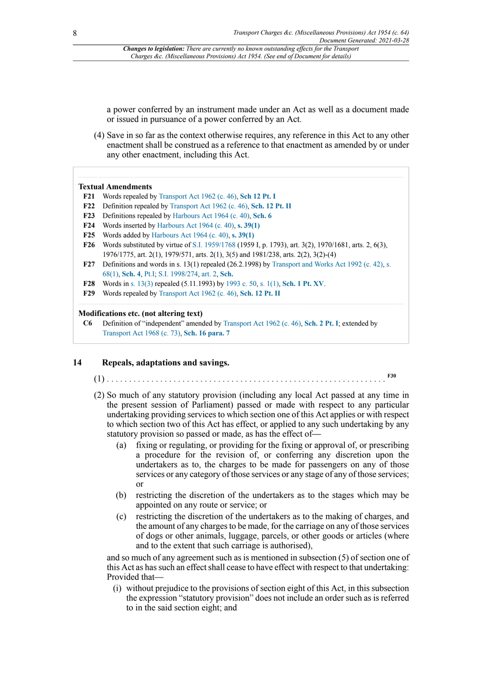a power conferred by an instrument made under an Act as well as a document made or issued in pursuance of a power conferred by an Act.

(4) Save in so far as the context otherwise requires, any reference in this Act to any other enactment shall be construed as a reference to that enactment as amended by or under any other enactment, including this Act.

#### **Textual Amendments**

- <span id="page-7-0"></span>**[F21](#page-6-0)** Words repealed by [Transport](http://www.legislation.gov.uk/id/ukpga/1962/46) Act 1962 (c. 46), **[Sch 12 Pt. I](http://www.legislation.gov.uk/id/ukpga/1962/46/schedule/12/part/I)**
- <span id="page-7-1"></span>**[F22](#page-6-1)** Definition repealed by [Transport](http://www.legislation.gov.uk/id/ukpga/1962/46) Act 1962 (c. 46), **[Sch. 12 Pt. II](http://www.legislation.gov.uk/id/ukpga/1962/46/schedule/12/part/II)**
- <span id="page-7-2"></span>**[F23](#page-6-2)** Definitions repealed by [Harbours Act 1964 \(c. 40\)](http://www.legislation.gov.uk/id/ukpga/1964/40), **[Sch. 6](http://www.legislation.gov.uk/id/ukpga/1964/40/schedule/6)**
- <span id="page-7-3"></span>**[F24](#page-6-3)** Words inserted by [Harbours Act 1964 \(c. 40\),](http://www.legislation.gov.uk/id/ukpga/1964/40) **[s. 39\(1\)](http://www.legislation.gov.uk/id/ukpga/1964/40/section/39/1)**
- <span id="page-7-4"></span>**[F25](#page-6-4)** Words added by [Harbours Act 1964 \(c. 40\),](http://www.legislation.gov.uk/id/ukpga/1964/40) **[s. 39\(1\)](http://www.legislation.gov.uk/id/ukpga/1964/40/section/39/1)**
- <span id="page-7-5"></span>**[F26](#page-6-5)** Words substituted by virtue of [S.I. 1959/1768](http://www.legislation.gov.uk/id/uksi/1959/1768) (1959 I, p. 1793), art. 3(2), 1970/1681, arts. 2, 6(3), 1976/1775, art. 2(1), 1979/571, arts. 2(1), 3(5) and 1981/238, arts. 2(2), 3(2)-(4)
- <span id="page-7-6"></span>**[F27](#page-6-6)** Definitions and words in s. 13(1) repealed (26.2.1998) by [Transport](http://www.legislation.gov.uk/id/ukpga/1992/42) and Works Act 1992 (c. 42), [s.](http://www.legislation.gov.uk/id/ukpga/1992/42/section/68/1) [68\(1\)](http://www.legislation.gov.uk/id/ukpga/1992/42/section/68/1), **[Sch. 4](http://www.legislation.gov.uk/id/ukpga/1992/42/schedule/4)**, [Pt.I;](http://www.legislation.gov.uk/id/ukpga/1992/42/part/I) [S.I. 1998/274](http://www.legislation.gov.uk/id/uksi/1998/274), [art. 2](http://www.legislation.gov.uk/id/uksi/1998/274/article/2), **[Sch.](http://www.legislation.gov.uk/id/uksi/1998/274/schedule)**
- <span id="page-7-7"></span>**[F28](#page-6-7)** Words in [s. 13\(3\)](http://www.legislation.gov.uk/id/ukpga/Eliz2/2-3/64/section/13/3) repealed (5.11.1993) by [1993 c. 50,](http://www.legislation.gov.uk/id/ukpga/1993/50) [s. 1\(1\)](http://www.legislation.gov.uk/id/ukpga/1993/50/section/1/1), **[Sch. 1 Pt. XV](http://www.legislation.gov.uk/id/ukpga/1993/50/schedule/1/part/XV)**.
- <span id="page-7-8"></span>**[F29](#page-6-8)** Words repealed by [Transport](http://www.legislation.gov.uk/id/ukpga/1962/46) Act 1962 (c. 46), **[Sch. 12 Pt. II](http://www.legislation.gov.uk/id/ukpga/1962/46/schedule/12/part/II)**

#### **Modifications etc. (not altering text)**

**C6** Definition of "independent" amended by [Transport](http://www.legislation.gov.uk/id/ukpga/1962/46) Act 1962 (c. 46), **[Sch. 2 Pt. I](http://www.legislation.gov.uk/id/ukpga/1962/46/schedule/2/part/I)**; extended by [Transport](http://www.legislation.gov.uk/id/ukpga/1968/73) Act 1968 (c. 73), **[Sch. 16 para. 7](http://www.legislation.gov.uk/id/ukpga/1968/73/schedule/16/paragraph/7)**

#### **14 Repeals, adaptations and savings.**

- <span id="page-7-9"></span>(1) . . . . . . . . . . . . . . . . . . . . . . . . . . . . . . . . . . . . . . . . . . . . . . . . . . . . . . . . . . . . . . . **[F30](#page-8-0)**
- (2) So much of any statutory provision (including any local Act passed at any time in the present session of Parliament) passed or made with respect to any particular undertaking providing services to which section one of this Act applies or with respect to which section two of this Act has effect, or applied to any such undertaking by any statutory provision so passed or made, as has the effect of—
	- (a) fixing or regulating, or providing for the fixing or approval of, or prescribing a procedure for the revision of, or conferring any discretion upon the undertakers as to, the charges to be made for passengers on any of those services or any category of those services or any stage of any of those services; or
	- (b) restricting the discretion of the undertakers as to the stages which may be appointed on any route or service; or
	- (c) restricting the discretion of the undertakers as to the making of charges, and the amount of any charges to be made, for the carriage on any of those services of dogs or other animals, luggage, parcels, or other goods or articles (where and to the extent that such carriage is authorised),

and so much of any agreement such as is mentioned in subsection (5) of section one of this Act as has such an effect shall cease to have effect with respect to that undertaking: Provided that—

(i) without prejudice to the provisions of section eight of this Act, in this subsection the expression "statutory provision" does not include an order such as is referred to in the said section eight; and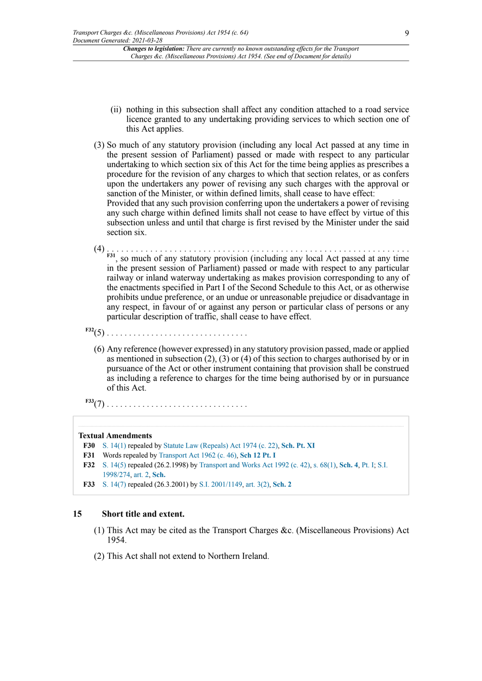- (ii) nothing in this subsection shall affect any condition attached to a road service licence granted to any undertaking providing services to which section one of this Act applies.
- (3) So much of any statutory provision (including any local Act passed at any time in the present session of Parliament) passed or made with respect to any particular undertaking to which section six of this Act for the time being applies as prescribes a procedure for the revision of any charges to which that section relates, or as confers upon the undertakers any power of revising any such charges with the approval or sanction of the Minister, or within defined limits, shall cease to have effect: Provided that any such provision conferring upon the undertakers a power of revising any such charge within defined limits shall not cease to have effect by virtue of this subsection unless and until that charge is first revised by the Minister under the said section six.
- <span id="page-8-4"></span>(4) . . . . . . . . . . . . . . . . . . . . . . . . . . . . . . . . . . . . . . . . . . . . . . . . . . . . . . . . . . . . . . . **[F31](#page-8-1)**, so much of any statutory provision (including any local Act passed at any time in the present session of Parliament) passed or made with respect to any particular railway or inland waterway undertaking as makes provision corresponding to any of the enactments specified in Part I of the Second Schedule to this Act, or as otherwise prohibits undue preference, or an undue or unreasonable prejudice or disadvantage in any respect, in favour of or against any person or particular class of persons or any particular description of traffic, shall cease to have effect.
- <span id="page-8-5"></span>**[F32](#page-8-2)**(5) . . . . . . . . . . . . . . . . . . . . . . . . . . . . . . . .
	- (6) Any reference (however expressed) in any statutory provision passed, made or applied as mentioned in subsection (2), (3) or (4) of this section to charges authorised by or in pursuance of the Act or other instrument containing that provision shall be construed as including a reference to charges for the time being authorised by or in pursuance of this Act.
- <span id="page-8-6"></span>**[F33](#page-8-3)**(7) . . . . . . . . . . . . . . . . . . . . . . . . . . . . . . . .

## **Textual Amendments**

```
F30 S. 14(1) repealed by Statute Law (Repeals) Act 1974 (c. 22), Sch. Pt. XI
```
- <span id="page-8-1"></span>**[F31](#page-8-4)** Words repealed by [Transport](http://www.legislation.gov.uk/id/ukpga/1962/46) Act 1962 (c. 46), **[Sch 12 Pt. I](http://www.legislation.gov.uk/id/ukpga/1962/46/schedule/12/part/I)**
- <span id="page-8-2"></span>**[F32](#page-8-5)** [S. 14\(5\)](http://www.legislation.gov.uk/id/ukpga/Eliz2/2-3/64/section/14/5) repealed (26.2.1998) by [Transport](http://www.legislation.gov.uk/id/ukpga/1992/42) and Works Act 1992 (c. 42), [s. 68\(1\),](http://www.legislation.gov.uk/id/ukpga/1992/42/section/68/1) **[Sch. 4](http://www.legislation.gov.uk/id/ukpga/1992/42/schedule/4)**, [Pt. I;](http://www.legislation.gov.uk/id/ukpga/1992/42/part/I) [S.I.](http://www.legislation.gov.uk/id/uksi/1998/274) [1998/274,](http://www.legislation.gov.uk/id/uksi/1998/274) [art. 2,](http://www.legislation.gov.uk/id/uksi/1998/274/article/2) **[Sch.](http://www.legislation.gov.uk/id/uksi/1998/274/schedule)**
- <span id="page-8-3"></span>**[F33](#page-8-6)** [S. 14\(7\)](http://www.legislation.gov.uk/id/ukpga/Eliz2/2-3/64/section/14/7) repealed (26.3.2001) by S.I. [2001/1149](http://www.legislation.gov.uk/id/uksi/2001/1149), [art. 3\(2\),](http://www.legislation.gov.uk/id/uksi/2001/1149/article/3/2) **[Sch. 2](http://www.legislation.gov.uk/id/uksi/2001/1149/schedule/2)**

## **15 Short title and extent.**

- (1) This Act may be cited as the Transport Charges &c. (Miscellaneous Provisions) Act 1954.
- (2) This Act shall not extend to Northern Ireland.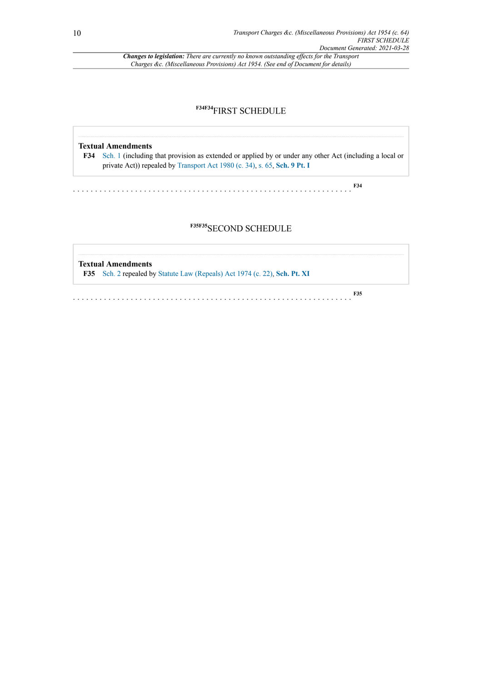## <span id="page-9-1"></span>**[F34F34](#page-9-0)**FIRST SCHEDULE

#### **Textual Amendments**

<span id="page-9-0"></span>**[F34](#page-9-1)** [Sch. 1](http://www.legislation.gov.uk/id/ukpga/Eliz2/2-3/64/schedule/1) (including that provision as extended or applied by or under any other Act (including a local or private Act)) repealed by [Transport](http://www.legislation.gov.uk/id/ukpga/1980/34) Act 1980 (c. 34), [s. 65](http://www.legislation.gov.uk/id/ukpga/1980/34/section/65), **[Sch. 9 Pt. I](http://www.legislation.gov.uk/id/ukpga/1980/34/schedule/9/part/I)**

. . . . . . . . . . . . . . . . . . . . . . . . . . . . . . . . . . . . . . . . . . . . . . . . . . . . . . . . . . . . . . . **[F34](#page-9-0)**

## <span id="page-9-3"></span>**[F35F35](#page-9-2)**SECOND SCHEDULE

<span id="page-9-2"></span>**Textual Amendments [F35](#page-9-3)** [Sch. 2](http://www.legislation.gov.uk/id/ukpga/Eliz2/2-3/64/schedule/2) repealed by [Statute Law \(Repeals\) Act 1974 \(c. 22\),](http://www.legislation.gov.uk/id/ukpga/1974/22) **[Sch. Pt. XI](http://www.legislation.gov.uk/id/ukpga/1974/22/schedule/part/XI)**

. . . . . . . . . . . . . . . . . . . . . . . . . . . . . . . . . . . . . . . . . . . . . . . . . . . . . . . . . . . . . . .

**[F35](#page-9-2)**